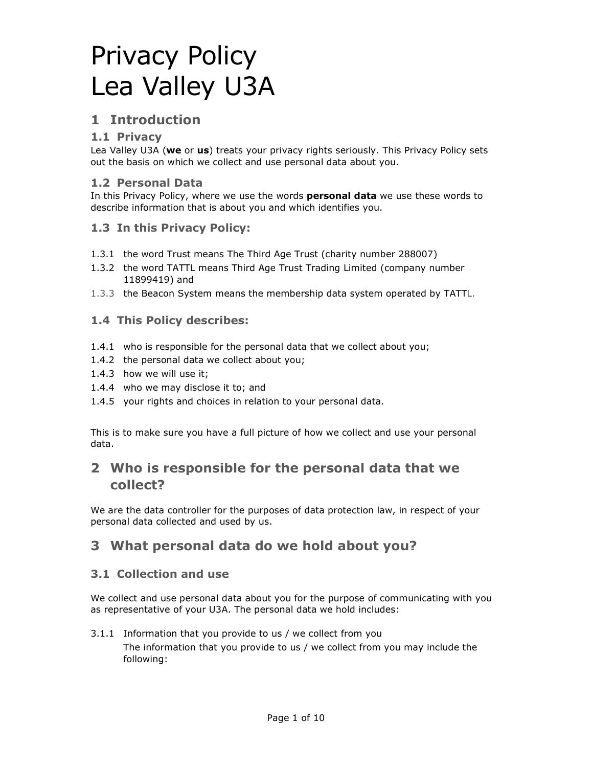# Privacy Policy Lea Valley U3A

### **1 Introduction**

#### **1.1 Privacy**

Lea Valley U3A (**we** or **us**) treats your privacy rights seriously. This Privacy Policy sets out the basis on which we collect and use personal data about you.

#### **1.2 Personal Data**

In this Privacy Policy, where we use the words **personal data** we use these words to describe information that is about you and which identifies you.

#### **1.3 In this Privacy Policy:**

- 1.3.1 the word Trust means The Third Age Trust (charity number 288007)
- 1.3.2 the word TATTL means Third Age Trust Trading Limited (company number 11899419) and
- 1.3.3 the Beacon System means the membership data system operated by TATTL.

#### **1.4 This Policy describes:**

- 1.4.1 who is responsible for the personal data that we collect about you;
- 1.4.2 the personal data we collect about you;
- 1.4.3 how we will use it;
- 1.4.4 who we may disclose it to; and
- 1.4.5 your rights and choices in relation to your personal data.

This is to make sure you have a full picture of how we collect and use your personal data.

## **2 Who is responsible for the personal data that we collect?**

We are the data controller for the purposes of data protection law, in respect of your personal data collected and used by us.

### **3 What personal data do we hold about you?**

#### **3.1 Collection and use**

We collect and use personal data about you for the purpose of communicating with you as representative of your U3A. The personal data we hold includes:

#### 3.1.1 Information that you provide to us / we collect from you

The information that you provide to us / we collect from you may include the following: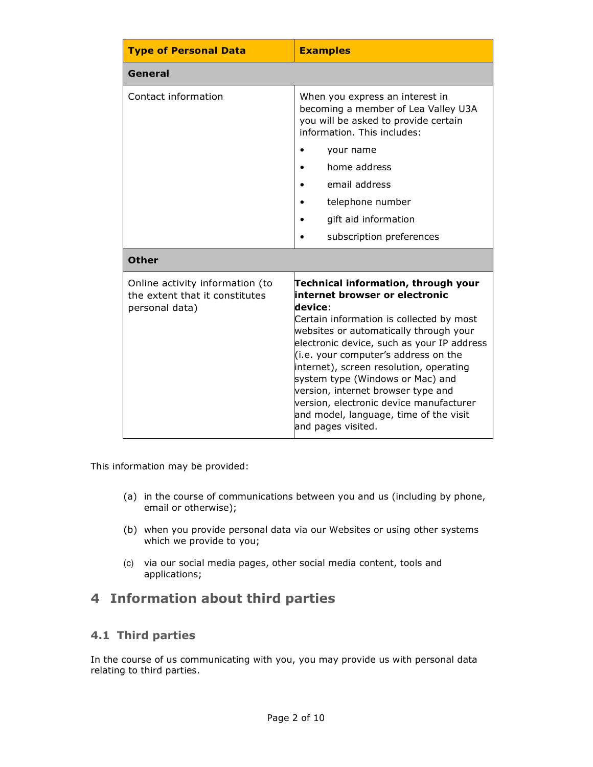| <b>Type of Personal Data</b>                                                        | <b>Examples</b>                                                                                                                                                                                                                                                                                                                                                                                                                                                                              |
|-------------------------------------------------------------------------------------|----------------------------------------------------------------------------------------------------------------------------------------------------------------------------------------------------------------------------------------------------------------------------------------------------------------------------------------------------------------------------------------------------------------------------------------------------------------------------------------------|
| General                                                                             |                                                                                                                                                                                                                                                                                                                                                                                                                                                                                              |
| Contact information                                                                 | When you express an interest in<br>becoming a member of Lea Valley U3A<br>you will be asked to provide certain<br>information. This includes:                                                                                                                                                                                                                                                                                                                                                |
|                                                                                     | your name                                                                                                                                                                                                                                                                                                                                                                                                                                                                                    |
|                                                                                     | home address                                                                                                                                                                                                                                                                                                                                                                                                                                                                                 |
|                                                                                     | email address                                                                                                                                                                                                                                                                                                                                                                                                                                                                                |
|                                                                                     | telephone number                                                                                                                                                                                                                                                                                                                                                                                                                                                                             |
|                                                                                     | gift aid information                                                                                                                                                                                                                                                                                                                                                                                                                                                                         |
|                                                                                     | subscription preferences                                                                                                                                                                                                                                                                                                                                                                                                                                                                     |
| <b>Other</b>                                                                        |                                                                                                                                                                                                                                                                                                                                                                                                                                                                                              |
| Online activity information (to<br>the extent that it constitutes<br>personal data) | Technical information, through your<br>internet browser or electronic<br>device:<br>Certain information is collected by most<br>websites or automatically through your<br>electronic device, such as your IP address<br>(i.e. your computer's address on the<br>internet), screen resolution, operating<br>system type (Windows or Mac) and<br>version, internet browser type and<br>version, electronic device manufacturer<br>and model, language, time of the visit<br>and pages visited. |

This information may be provided:

- (a) in the course of communications between you and us (including by phone, email or otherwise);
- (b) when you provide personal data via our Websites or using other systems which we provide to you;
- (c) via our social media pages, other social media content, tools and applications;

# **4 Information about third parties**

### **4.1 Third parties**

In the course of us communicating with you, you may provide us with personal data relating to third parties.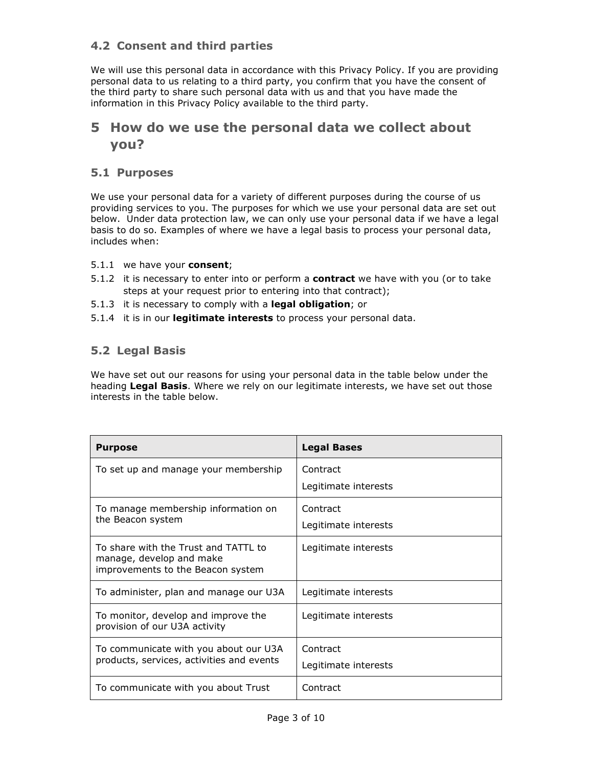### **4.2 Consent and third parties**

We will use this personal data in accordance with this Privacy Policy. If you are providing personal data to us relating to a third party, you confirm that you have the consent of the third party to share such personal data with us and that you have made the information in this Privacy Policy available to the third party.

### **5 How do we use the personal data we collect about you?**

#### **5.1 Purposes**

We use your personal data for a variety of different purposes during the course of us providing services to you. The purposes for which we use your personal data are set out below. Under data protection law, we can only use your personal data if we have a legal basis to do so. Examples of where we have a legal basis to process your personal data, includes when:

- 5.1.1 we have your **consent**;
- 5.1.2 it is necessary to enter into or perform a **contract** we have with you (or to take steps at your request prior to entering into that contract);
- 5.1.3 it is necessary to comply with a **legal obligation**; or
- 5.1.4 it is in our **legitimate interests** to process your personal data.

#### **5.2 Legal Basis**

We have set out our reasons for using your personal data in the table below under the heading **Legal Basis**. Where we rely on our legitimate interests, we have set out those interests in the table below.

| <b>Purpose</b>                                                                                        | <b>Legal Bases</b>   |
|-------------------------------------------------------------------------------------------------------|----------------------|
| To set up and manage your membership                                                                  | Contract             |
|                                                                                                       | Legitimate interests |
| To manage membership information on                                                                   | Contract             |
| the Beacon system                                                                                     | Legitimate interests |
| To share with the Trust and TATTL to<br>manage, develop and make<br>improvements to the Beacon system | Legitimate interests |
| To administer, plan and manage our U3A                                                                | Legitimate interests |
| To monitor, develop and improve the<br>provision of our U3A activity                                  | Legitimate interests |
| To communicate with you about our U3A                                                                 | Contract             |
| products, services, activities and events                                                             | Legitimate interests |
| To communicate with you about Trust                                                                   | Contract             |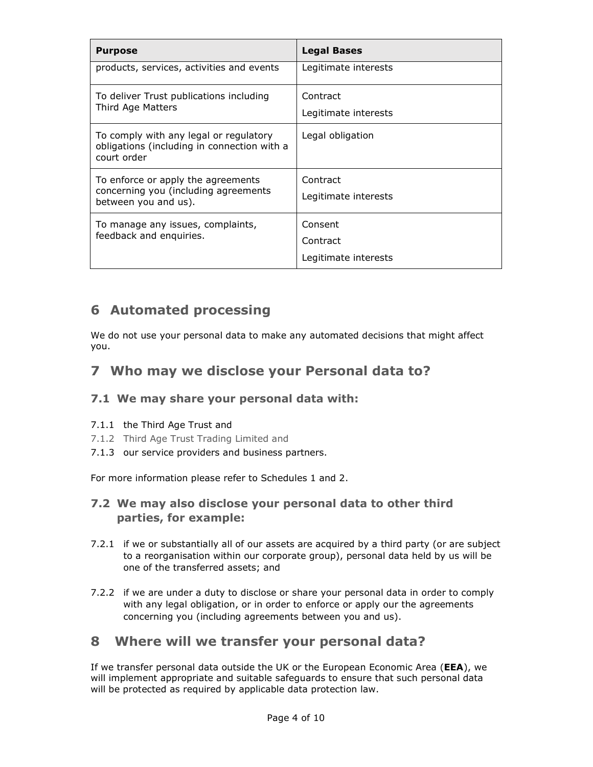| <b>Purpose</b>                                                                                       | <b>Legal Bases</b>   |
|------------------------------------------------------------------------------------------------------|----------------------|
| products, services, activities and events                                                            | Legitimate interests |
| To deliver Trust publications including<br>Third Age Matters                                         | Contract             |
|                                                                                                      | Legitimate interests |
| To comply with any legal or regulatory<br>obligations (including in connection with a<br>court order | Legal obligation     |
| To enforce or apply the agreements                                                                   | Contract             |
| concerning you (including agreements<br>between you and us).                                         | Legitimate interests |
| To manage any issues, complaints,<br>feedback and enquiries.                                         | Consent              |
|                                                                                                      | Contract             |
|                                                                                                      | Legitimate interests |

## **6 Automated processing**

We do not use your personal data to make any automated decisions that might affect you.

# **7 Who may we disclose your Personal data to?**

### **7.1 We may share your personal data with:**

#### 7.1.1 the Third Age Trust and

- 7.1.2 Third Age Trust Trading Limited and
- 7.1.3 our service providers and business partners.

For more information please refer to Schedules 1 and 2.

### **7.2 We may also disclose your personal data to other third parties, for example:**

- 7.2.1 if we or substantially all of our assets are acquired by a third party (or are subject to a reorganisation within our corporate group), personal data held by us will be one of the transferred assets; and
- 7.2.2 if we are under a duty to disclose or share your personal data in order to comply with any legal obligation, or in order to enforce or apply our the agreements concerning you (including agreements between you and us).

### **8 Where will we transfer your personal data?**

If we transfer personal data outside the UK or the European Economic Area (**EEA**), we will implement appropriate and suitable safeguards to ensure that such personal data will be protected as required by applicable data protection law.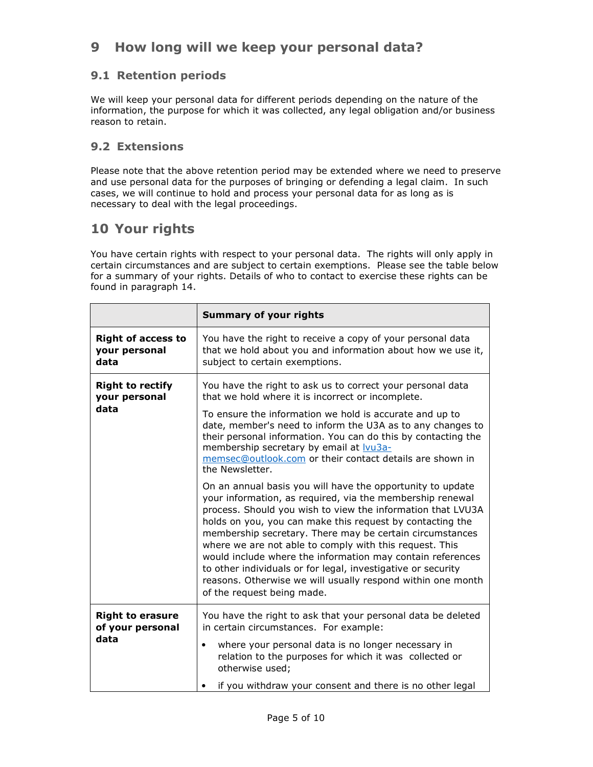# **9 How long will we keep your personal data?**

#### **9.1 Retention periods**

We will keep your personal data for different periods depending on the nature of the information, the purpose for which it was collected, any legal obligation and/or business reason to retain.

#### **9.2 Extensions**

Please note that the above retention period may be extended where we need to preserve and use personal data for the purposes of bringing or defending a legal claim. In such cases, we will continue to hold and process your personal data for as long as is necessary to deal with the legal proceedings.

## **10 Your rights**

You have certain rights with respect to your personal data. The rights will only apply in certain circumstances and are subject to certain exemptions. Please see the table below for a summary of your rights. Details of who to contact to exercise these rights can be found in paragraph 14.

|                                                     | <b>Summary of your rights</b>                                                                                                                                                                                                                                                                                                                                                                                                                                                                                                                                                                         |
|-----------------------------------------------------|-------------------------------------------------------------------------------------------------------------------------------------------------------------------------------------------------------------------------------------------------------------------------------------------------------------------------------------------------------------------------------------------------------------------------------------------------------------------------------------------------------------------------------------------------------------------------------------------------------|
| <b>Right of access to</b><br>your personal<br>data  | You have the right to receive a copy of your personal data<br>that we hold about you and information about how we use it,<br>subject to certain exemptions.                                                                                                                                                                                                                                                                                                                                                                                                                                           |
| <b>Right to rectify</b><br>your personal<br>data    | You have the right to ask us to correct your personal data<br>that we hold where it is incorrect or incomplete.<br>To ensure the information we hold is accurate and up to<br>date, member's need to inform the U3A as to any changes to<br>their personal information. You can do this by contacting the<br>membership secretary by email at <b>Vu3a-</b><br>memsec@outlook.com or their contact details are shown in<br>the Newsletter.                                                                                                                                                             |
|                                                     | On an annual basis you will have the opportunity to update<br>your information, as required, via the membership renewal<br>process. Should you wish to view the information that LVU3A<br>holds on you, you can make this request by contacting the<br>membership secretary. There may be certain circumstances<br>where we are not able to comply with this request. This<br>would include where the information may contain references<br>to other individuals or for legal, investigative or security<br>reasons. Otherwise we will usually respond within one month<br>of the request being made. |
| <b>Right to erasure</b><br>of your personal<br>data | You have the right to ask that your personal data be deleted<br>in certain circumstances. For example:<br>where your personal data is no longer necessary in<br>$\bullet$<br>relation to the purposes for which it was collected or<br>otherwise used;<br>if you withdraw your consent and there is no other legal                                                                                                                                                                                                                                                                                    |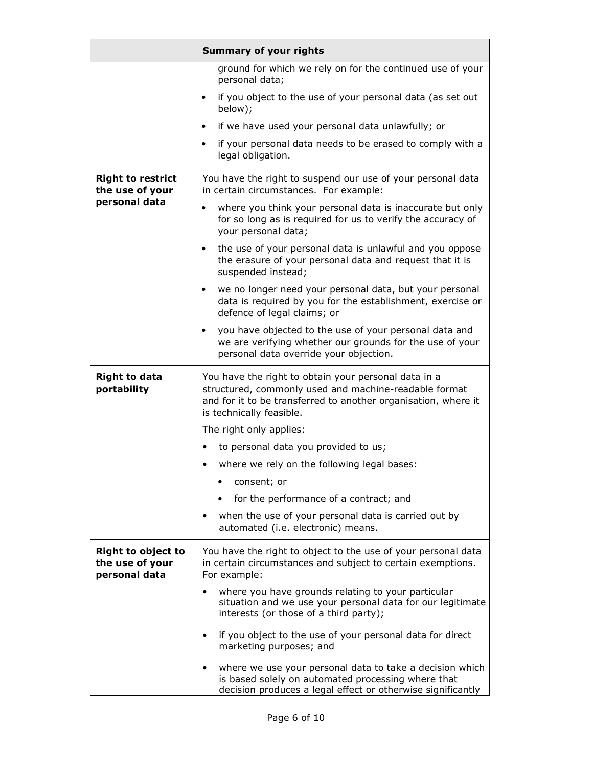|                                                               | <b>Summary of your rights</b>                                                                                                                                                                               |
|---------------------------------------------------------------|-------------------------------------------------------------------------------------------------------------------------------------------------------------------------------------------------------------|
|                                                               | ground for which we rely on for the continued use of your<br>personal data;                                                                                                                                 |
|                                                               | if you object to the use of your personal data (as set out<br>$\bullet$<br>below);                                                                                                                          |
|                                                               | if we have used your personal data unlawfully; or<br>$\bullet$                                                                                                                                              |
|                                                               | if your personal data needs to be erased to comply with a<br>$\bullet$<br>legal obligation.                                                                                                                 |
| <b>Right to restrict</b><br>the use of your                   | You have the right to suspend our use of your personal data<br>in certain circumstances. For example:                                                                                                       |
| personal data                                                 | where you think your personal data is inaccurate but only<br>$\bullet$<br>for so long as is required for us to verify the accuracy of<br>your personal data;                                                |
|                                                               | the use of your personal data is unlawful and you oppose<br>$\bullet$<br>the erasure of your personal data and request that it is<br>suspended instead;                                                     |
|                                                               | we no longer need your personal data, but your personal<br>$\bullet$<br>data is required by you for the establishment, exercise or<br>defence of legal claims; or                                           |
|                                                               | you have objected to the use of your personal data and<br>$\bullet$<br>we are verifying whether our grounds for the use of your<br>personal data override your objection.                                   |
| <b>Right to data</b><br>portability                           | You have the right to obtain your personal data in a<br>structured, commonly used and machine-readable format<br>and for it to be transferred to another organisation, where it<br>is technically feasible. |
|                                                               | The right only applies:                                                                                                                                                                                     |
|                                                               | to personal data you provided to us;<br>$\bullet$                                                                                                                                                           |
|                                                               | where we rely on the following legal bases:<br>٠                                                                                                                                                            |
|                                                               | consent; or                                                                                                                                                                                                 |
|                                                               | for the performance of a contract; and                                                                                                                                                                      |
|                                                               | when the use of your personal data is carried out by<br>٠<br>automated (i.e. electronic) means.                                                                                                             |
| <b>Right to object to</b><br>the use of your<br>personal data | You have the right to object to the use of your personal data<br>in certain circumstances and subject to certain exemptions.<br>For example:                                                                |
|                                                               | where you have grounds relating to your particular<br>$\bullet$<br>situation and we use your personal data for our legitimate<br>interests (or those of a third party);                                     |
|                                                               | if you object to the use of your personal data for direct<br>$\bullet$<br>marketing purposes; and                                                                                                           |
|                                                               | where we use your personal data to take a decision which<br>$\bullet$<br>is based solely on automated processing where that<br>decision produces a legal effect or otherwise significantly                  |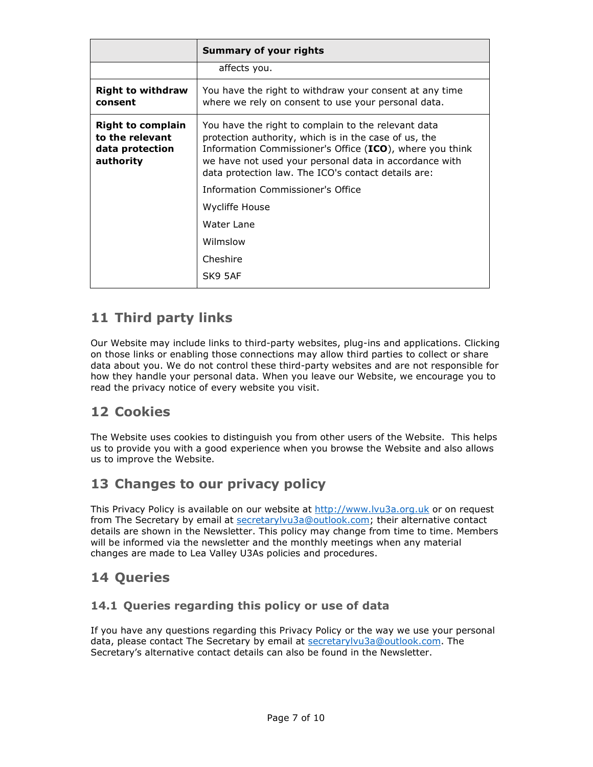|                                                                             | <b>Summary of your rights</b>                                                                                                                                                                                                                                                             |
|-----------------------------------------------------------------------------|-------------------------------------------------------------------------------------------------------------------------------------------------------------------------------------------------------------------------------------------------------------------------------------------|
|                                                                             | affects you.                                                                                                                                                                                                                                                                              |
| <b>Right to withdraw</b><br>consent                                         | You have the right to withdraw your consent at any time<br>where we rely on consent to use your personal data.                                                                                                                                                                            |
| <b>Right to complain</b><br>to the relevant<br>data protection<br>authority | You have the right to complain to the relevant data<br>protection authority, which is in the case of us, the<br>Information Commissioner's Office (ICO), where you think<br>we have not used your personal data in accordance with<br>data protection law. The ICO's contact details are: |
|                                                                             | Information Commissioner's Office                                                                                                                                                                                                                                                         |
|                                                                             | Wycliffe House                                                                                                                                                                                                                                                                            |
|                                                                             | Water Lane                                                                                                                                                                                                                                                                                |
|                                                                             | Wilmslow                                                                                                                                                                                                                                                                                  |
|                                                                             | Cheshire                                                                                                                                                                                                                                                                                  |
|                                                                             | SK9 5AF                                                                                                                                                                                                                                                                                   |

# **11 Third party links**

Our Website may include links to third-party websites, plug-ins and applications. Clicking on those links or enabling those connections may allow third parties to collect or share data about you. We do not control these third-party websites and are not responsible for how they handle your personal data. When you leave our Website, we encourage you to read the privacy notice of every website you visit.

# **12 Cookies**

The Website uses cookies to distinguish you from other users of the Website. This helps us to provide you with a good experience when you browse the Website and also allows us to improve the Website.

# **13 Changes to our privacy policy**

This Privacy Policy is available on our website at http://www.lvu3a.org.uk or on request from The Secretary by email at secretarylvu3a@outlook.com; their alternative contact details are shown in the Newsletter. This policy may change from time to time. Members will be informed via the newsletter and the monthly meetings when any material changes are made to Lea Valley U3As policies and procedures.

### **14 Queries**

### **14.1 Queries regarding this policy or use of data**

If you have any questions regarding this Privacy Policy or the way we use your personal data, please contact The Secretary by email at secretarylvu3a@outlook.com. The Secretary's alternative contact details can also be found in the Newsletter.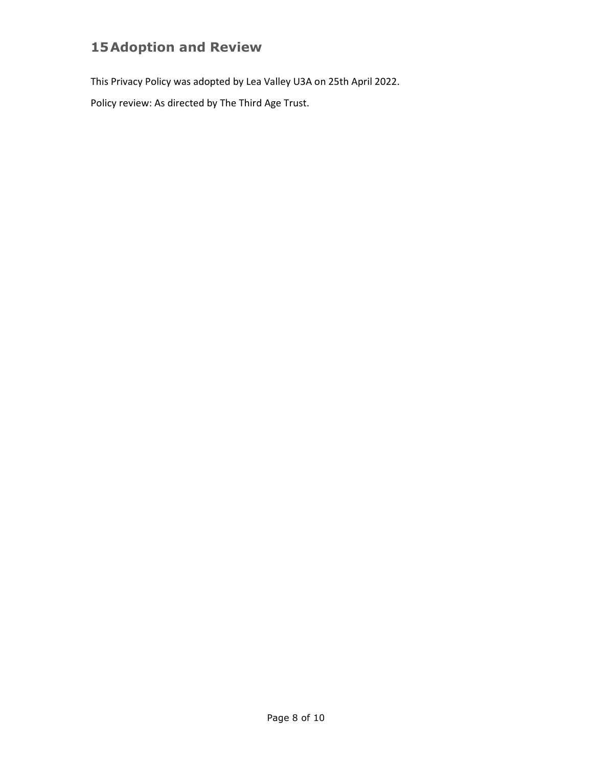# **15Adoption and Review**

This Privacy Policy was adopted by Lea Valley U3A on 25th April 2022.

Policy review: As directed by The Third Age Trust.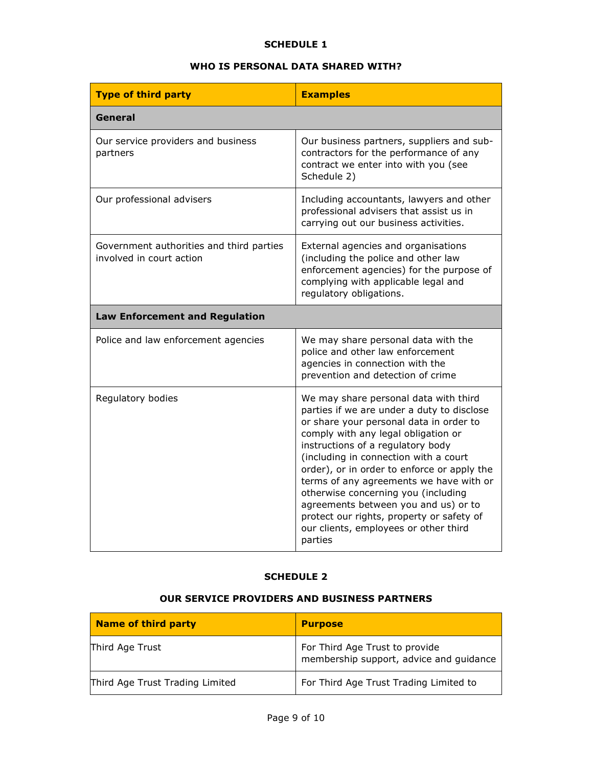#### **SCHEDULE 1**

#### **WHO IS PERSONAL DATA SHARED WITH?**

| <b>Type of third party</b>                                           | <b>Examples</b>                                                                                                                                                                                                                                                                                                                                                                                                                                                                                                               |
|----------------------------------------------------------------------|-------------------------------------------------------------------------------------------------------------------------------------------------------------------------------------------------------------------------------------------------------------------------------------------------------------------------------------------------------------------------------------------------------------------------------------------------------------------------------------------------------------------------------|
| General                                                              |                                                                                                                                                                                                                                                                                                                                                                                                                                                                                                                               |
| Our service providers and business<br>partners                       | Our business partners, suppliers and sub-<br>contractors for the performance of any<br>contract we enter into with you (see<br>Schedule 2)                                                                                                                                                                                                                                                                                                                                                                                    |
| Our professional advisers                                            | Including accountants, lawyers and other<br>professional advisers that assist us in<br>carrying out our business activities.                                                                                                                                                                                                                                                                                                                                                                                                  |
| Government authorities and third parties<br>involved in court action | External agencies and organisations<br>(including the police and other law<br>enforcement agencies) for the purpose of<br>complying with applicable legal and<br>regulatory obligations.                                                                                                                                                                                                                                                                                                                                      |
| <b>Law Enforcement and Regulation</b>                                |                                                                                                                                                                                                                                                                                                                                                                                                                                                                                                                               |
| Police and law enforcement agencies                                  | We may share personal data with the<br>police and other law enforcement<br>agencies in connection with the<br>prevention and detection of crime                                                                                                                                                                                                                                                                                                                                                                               |
| Regulatory bodies                                                    | We may share personal data with third<br>parties if we are under a duty to disclose<br>or share your personal data in order to<br>comply with any legal obligation or<br>instructions of a regulatory body<br>(including in connection with a court<br>order), or in order to enforce or apply the<br>terms of any agreements we have with or<br>otherwise concerning you (including<br>agreements between you and us) or to<br>protect our rights, property or safety of<br>our clients, employees or other third<br>parties |

#### **SCHEDULE 2**

#### **OUR SERVICE PROVIDERS AND BUSINESS PARTNERS**

| <b>Name of third party</b>      | <b>Purpose</b>                                                            |
|---------------------------------|---------------------------------------------------------------------------|
| Third Age Trust                 | For Third Age Trust to provide<br>membership support, advice and guidance |
| Third Age Trust Trading Limited | For Third Age Trust Trading Limited to                                    |